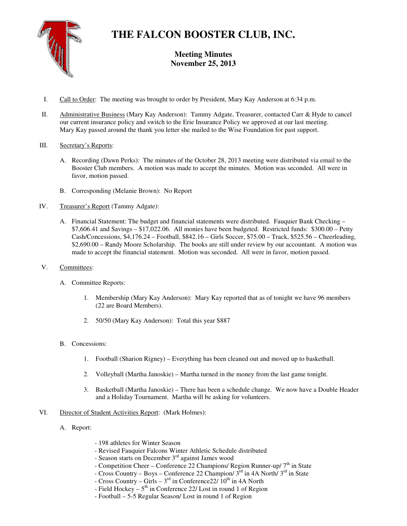

## **THE FALCON BOOSTER CLUB, INC.**

**Meeting Minutes November 25, 2013** 

- I. Call to Order: The meeting was brought to order by President, Mary Kay Anderson at 6:34 p.m.
- II. Administrative Business (Mary Kay Anderson): Tammy Adgate, Treasurer, contacted Carr & Hyde to cancel our current insurance policy and switch to the Erie Insurance Policy we approved at our last meeting. Mary Kay passed around the thank you letter she mailed to the Wise Foundation for past support.
- III. Secretary's Reports:
	- A. Recording (Dawn Perks): The minutes of the October 28, 2013 meeting were distributed via email to the Booster Club members. A motion was made to accept the minutes. Motion was seconded. All were in favor, motion passed.
	- B. Corresponding (Melanie Brown): No Report
- IV. Treasurer's Report (Tammy Adgate):
	- A. Financial Statement: The budget and financial statements were distributed. Fauquier Bank Checking \$7,606.41 and Savings – \$17,022.06. All monies have been budgeted. Restricted funds: \$300.00 – Petty Cash/Concessions, \$4,176.24 – Football, \$842.16 – Girls Soccer, \$75.00 – Track, \$525.56 – Cheerleading, \$2,690.00 – Randy Moore Scholarship. The books are still under review by our accountant. A motion was made to accept the financial statement. Motion was seconded. All were in favor, motion passed.
- V. Committees:
	- A. Committee Reports:
		- 1. Membership (Mary Kay Anderson): Mary Kay reported that as of tonight we have 96 members (22 are Board Members).
		- 2. 50/50 (Mary Kay Anderson): Total this year \$887
	- B. Concessions:
		- 1. Football (Sharion Rigney) Everything has been cleaned out and moved up to basketball.
		- 2. Volleyball (Martha Janoskie) Martha turned in the money from the last game tonight.
		- 3. Basketball (Martha Janoskie) There has been a schedule change. We now have a Double Header and a Holiday Tournament. Martha will be asking for volunteers.
- VI. Director of Student Activities Report: (Mark Holmes):
	- A. Report:
- 198 athletes for Winter Season
- Revised Fauquier Falcons Winter Athletic Schedule distributed
- Season starts on December  $3<sup>rd</sup>$  against James wood
- Competition Cheer Conference 22 Champions/ Region Runner-up/  $7<sup>th</sup>$  in State
- Cross Country Boys Conference 22 Champion/ $3^{rd}$  in 4A North/ $3^{rd}$  in State
- Cross Country Girls  $3<sup>rd</sup>$  in Conference 22/  $10<sup>th</sup>$  in 4A North
- Field Hockey  $5<sup>th</sup>$  in Conference 22/ Lost in round 1 of Region
- Football 5-5 Regular Season/ Lost in round 1 of Region